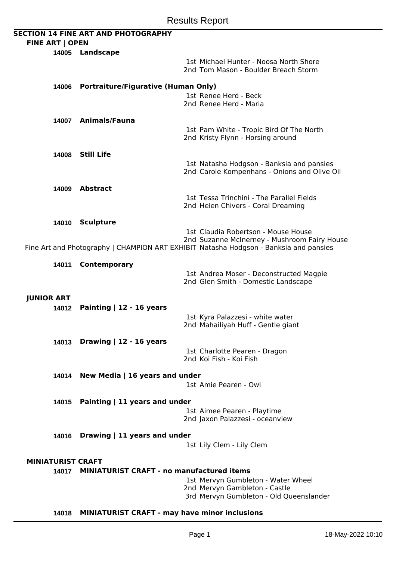|                   | <b>FINE ART   OPEN</b>   | <b>SECTION 14 FINE ART AND PHOTOGRAPHY</b>          |                                                                                                                                                                              |
|-------------------|--------------------------|-----------------------------------------------------|------------------------------------------------------------------------------------------------------------------------------------------------------------------------------|
|                   |                          | 14005 Landscape                                     |                                                                                                                                                                              |
|                   |                          |                                                     | 1st Michael Hunter - Noosa North Shore<br>2nd Tom Mason - Boulder Breach Storm                                                                                               |
|                   | 14006                    | <b>Portraiture/Figurative (Human Only)</b>          |                                                                                                                                                                              |
|                   |                          |                                                     | 1st Renee Herd - Beck<br>2nd Renee Herd - Maria                                                                                                                              |
|                   |                          | 14007 Animals/Fauna                                 |                                                                                                                                                                              |
|                   |                          |                                                     | 1st Pam White - Tropic Bird Of The North<br>2nd Kristy Flynn - Horsing around                                                                                                |
|                   |                          | 14008 Still Life                                    |                                                                                                                                                                              |
|                   |                          |                                                     | 1st Natasha Hodgson - Banksia and pansies<br>2nd Carole Kompenhans - Onions and Olive Oil                                                                                    |
|                   |                          | 14009 Abstract                                      |                                                                                                                                                                              |
|                   |                          |                                                     | 1st Tessa Trinchini - The Parallel Fields<br>2nd Helen Chivers - Coral Dreaming                                                                                              |
|                   | 14010                    | <b>Sculpture</b>                                    |                                                                                                                                                                              |
|                   |                          |                                                     | 1st Claudia Robertson - Mouse House<br>2nd Suzanne McInerney - Mushroom Fairy House<br>Fine Art and Photography   CHAMPION ART EXHIBIT Natasha Hodgson - Banksia and pansies |
|                   |                          |                                                     |                                                                                                                                                                              |
|                   | 14011                    | <b>Contemporary</b>                                 | 1st Andrea Moser - Deconstructed Magpie<br>2nd Glen Smith - Domestic Landscape                                                                                               |
|                   |                          |                                                     |                                                                                                                                                                              |
| <b>JUNIOR ART</b> |                          |                                                     |                                                                                                                                                                              |
|                   | 14012                    | Painting $ 12 - 16$ years                           | 1st Kyra Palazzesi - white water                                                                                                                                             |
|                   |                          |                                                     | 2nd Mahailiyah Huff - Gentle giant                                                                                                                                           |
|                   |                          |                                                     |                                                                                                                                                                              |
|                   |                          | 14013 Drawing   12 - 16 years                       |                                                                                                                                                                              |
|                   |                          |                                                     | 1st Charlotte Pearen - Dragon<br>2nd Koi Fish - Koi Fish                                                                                                                     |
|                   |                          |                                                     |                                                                                                                                                                              |
|                   |                          | 14014 New Media   16 years and under                | 1st Amie Pearen - Owl                                                                                                                                                        |
|                   |                          |                                                     |                                                                                                                                                                              |
|                   | 14015                    | Painting $ 11$ years and under                      |                                                                                                                                                                              |
|                   |                          |                                                     | 1st Aimee Pearen - Playtime<br>2nd Jaxon Palazzesi - oceanview                                                                                                               |
|                   | 14016                    | Drawing $ 11$ years and under                       |                                                                                                                                                                              |
|                   |                          |                                                     | 1st Lily Clem - Lily Clem                                                                                                                                                    |
|                   | <b>MINIATURIST CRAFT</b> |                                                     |                                                                                                                                                                              |
|                   | 14017                    | <b>MINIATURIST CRAFT - no manufactured items</b>    |                                                                                                                                                                              |
|                   |                          |                                                     | 1st Mervyn Gumbleton - Water Wheel                                                                                                                                           |
|                   |                          |                                                     | 2nd Mervyn Gambleton - Castle                                                                                                                                                |
|                   |                          |                                                     | 3rd Mervyn Gumbleton - Old Queenslander                                                                                                                                      |
|                   |                          | 14018 MINIATURIST CRAFT - may have minor inclusions |                                                                                                                                                                              |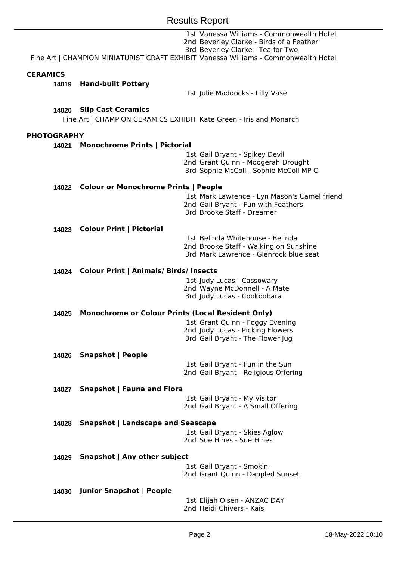|                    |                                                        | 1st Vanessa Williams - Commonwealth Hotel<br>2nd Beverley Clarke - Birds of a Feather<br>3rd Beverley Clarke - Tea for Two<br>Fine Art   CHAMPION MINIATURIST CRAFT EXHIBIT Vanessa Williams - Commonwealth Hotel |  |  |
|--------------------|--------------------------------------------------------|-------------------------------------------------------------------------------------------------------------------------------------------------------------------------------------------------------------------|--|--|
| <b>CERAMICS</b>    |                                                        |                                                                                                                                                                                                                   |  |  |
| 14019              | <b>Hand-built Pottery</b>                              |                                                                                                                                                                                                                   |  |  |
|                    |                                                        | 1st Julie Maddocks - Lilly Vase                                                                                                                                                                                   |  |  |
| 14020              | <b>Slip Cast Ceramics</b>                              | Fine Art   CHAMPION CERAMICS EXHIBIT Kate Green - Iris and Monarch                                                                                                                                                |  |  |
| <b>PHOTOGRAPHY</b> |                                                        |                                                                                                                                                                                                                   |  |  |
| 14021              | <b>Monochrome Prints   Pictorial</b>                   |                                                                                                                                                                                                                   |  |  |
|                    |                                                        | 1st Gail Bryant - Spikey Devil<br>2nd Grant Quinn - Moogerah Drought<br>3rd Sophie McColl - Sophie McColl MP C                                                                                                    |  |  |
|                    | 14022 Colour or Monochrome Prints   People             |                                                                                                                                                                                                                   |  |  |
|                    |                                                        | 1st Mark Lawrence - Lyn Mason's Camel friend<br>2nd Gail Bryant - Fun with Feathers<br>3rd Brooke Staff - Dreamer                                                                                                 |  |  |
|                    | 14023 Colour Print   Pictorial                         |                                                                                                                                                                                                                   |  |  |
|                    |                                                        | 1st Belinda Whitehouse - Belinda<br>2nd Brooke Staff - Walking on Sunshine<br>3rd Mark Lawrence - Glenrock blue seat                                                                                              |  |  |
|                    | <b>Colour Print   Animals/ Birds/ Insects</b><br>14024 |                                                                                                                                                                                                                   |  |  |
|                    |                                                        | 1st Judy Lucas - Cassowary<br>2nd Wayne McDonnell - A Mate<br>3rd Judy Lucas - Cookoobara                                                                                                                         |  |  |
| 14025              |                                                        | <b>Monochrome or Colour Prints (Local Resident Only)</b>                                                                                                                                                          |  |  |
|                    |                                                        | 1st Grant Quinn - Foggy Evening<br>2nd Judy Lucas - Picking Flowers<br>3rd Gail Bryant - The Flower Jug                                                                                                           |  |  |
| 14026              | <b>Snapshot   People</b>                               |                                                                                                                                                                                                                   |  |  |
|                    |                                                        | 1st Gail Bryant - Fun in the Sun<br>2nd Gail Bryant - Religious Offering                                                                                                                                          |  |  |
| 14027              | <b>Snapshot   Fauna and Flora</b>                      |                                                                                                                                                                                                                   |  |  |
|                    |                                                        | 1st Gail Bryant - My Visitor<br>2nd Gail Bryant - A Small Offering                                                                                                                                                |  |  |
| 14028              | <b>Snapshot   Landscape and Seascape</b>               |                                                                                                                                                                                                                   |  |  |
|                    |                                                        | 1st Gail Bryant - Skies Aglow<br>2nd Sue Hines - Sue Hines                                                                                                                                                        |  |  |
|                    | Snapshot   Any other subject<br>14029                  |                                                                                                                                                                                                                   |  |  |
|                    |                                                        | 1st Gail Bryant - Smokin'<br>2nd Grant Quinn - Dappled Sunset                                                                                                                                                     |  |  |
| 14030              | <b>Junior Snapshot   People</b>                        |                                                                                                                                                                                                                   |  |  |
|                    |                                                        | 1st Elijah Olsen - ANZAC DAY<br>2nd Heidi Chivers - Kais                                                                                                                                                          |  |  |